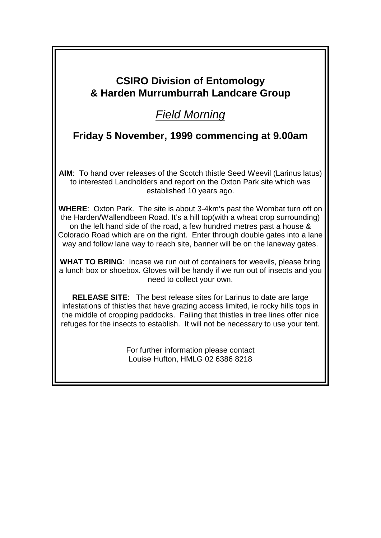